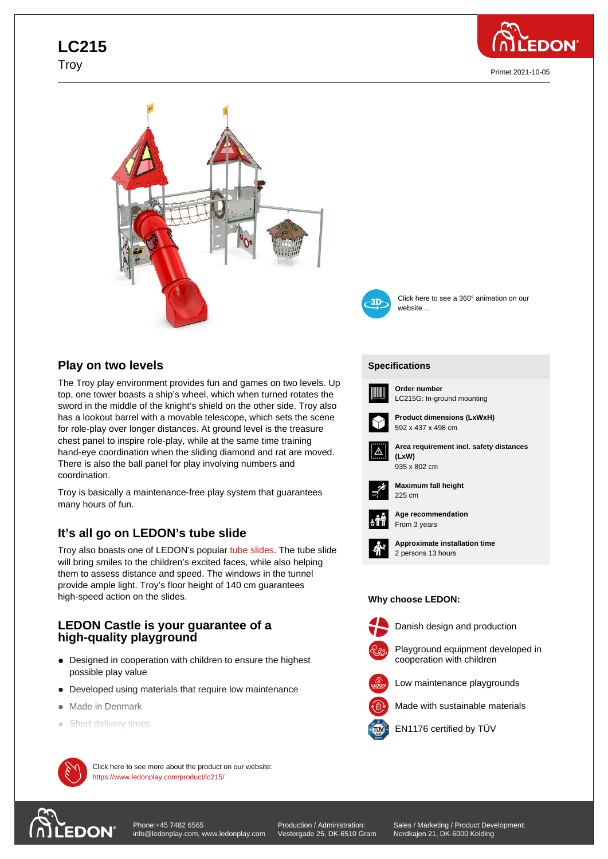# **LC215** Troy



Printet 2021-10-05





Click here to see a 360° animation on our

## **Play on two levels**

The Troy play environment provides fun and games on two levels. Up top, one tower boasts a ship's wheel, which when turned rotates the sword in the middle of the knight's shield on the other side. Troy also has a lookout barrel with a movable telescope, which sets the scene for role-play over longer distances. At ground level is the treasure chest panel to inspire role-play, while at the same time training hand-eye coordination when the sliding diamond and rat are moved. There is also the ball panel for play involving numbers and coordination.

Troy is basically a maintenance-free play system that guarantees many hours of fun.

## **It's all go on LEDON's tube slide**

Troy also boasts one of LEDON's popular tube slides. The tube slide will bring smiles to the children's excited faces, while also helping them to assess distance and speed. The windows in the tunnel provide ample light. Troy's floor height of 140 cm guarantees high-speed action on the slides.

### **LEDON Castle is your guarantee of a high-quality playground**

- Designed in cooperation with children to ensure the highest possible play value
- Developed using materials that require low maintenance
- Made in Denmark
- Short delivery times



 $\mathcal{M}$  Click here to see more about the product on our website: https://www.ledonplay.com/product/lc215/



website ...

### **[Specific](https://www.ledonplay.com/product/lc215/)ations [Speci](https://www.ledonplay.com/product/lc215/)fications**



**Order number** LC215G: In-ground mounting



**Product dimensions (LxWxH)** 592 x 437 x 498 cm



**Area requirement incl. safety distances (LxW) (LxW)**



**Maximum fall height** 225 cm 225 cm



**Age recommendation** From 3 years



**Approximate installation time** 2 persons 13 hours

#### **Why choose LEDON: Why choose LEDON:**



Danish design and production



Playground equipment developed in

cooperation with children



Made with sustainable materials



EN1176 certified by TÜV

[Phone:+45 7482 6565](https://www.ledonplay.com/product/lc215/) **EDON** info@ledonplay.com, www.ledonplay.com